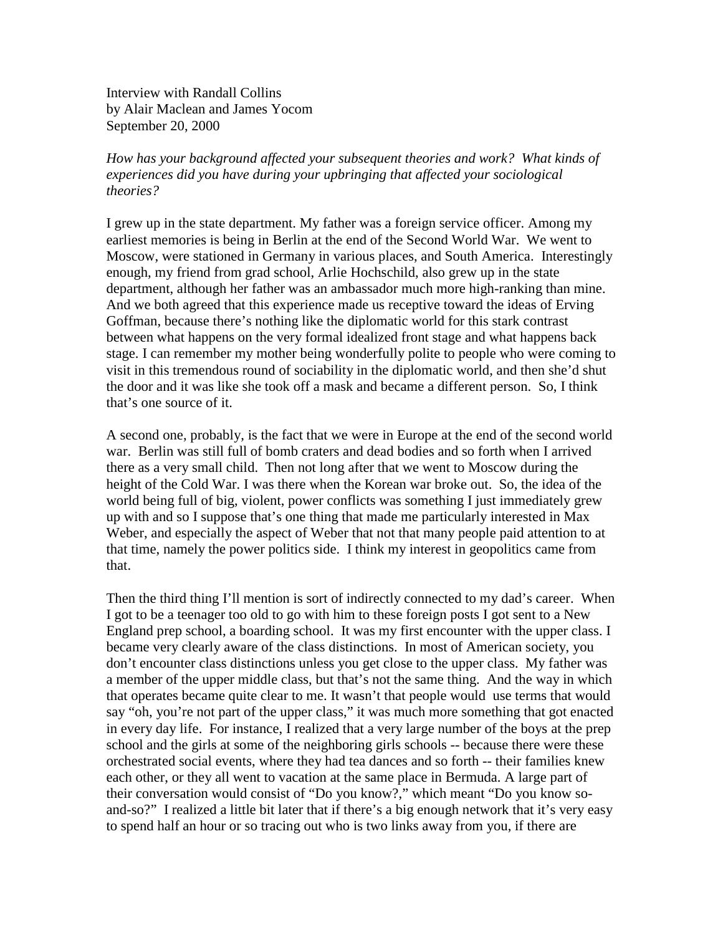Interview with Randall Collins by Alair Maclean and James Yocom September 20, 2000

*How has your background affected your subsequent theories and work? What kinds of experiences did you have during your upbringing that affected your sociological theories?* 

I grew up in the state department. My father was a foreign service officer. Among my earliest memories is being in Berlin at the end of the Second World War. We went to Moscow, were stationed in Germany in various places, and South America. Interestingly enough, my friend from grad school, Arlie Hochschild, also grew up in the state department, although her father was an ambassador much more high-ranking than mine. And we both agreed that this experience made us receptive toward the ideas of Erving Goffman, because there's nothing like the diplomatic world for this stark contrast between what happens on the very formal idealized front stage and what happens back stage. I can remember my mother being wonderfully polite to people who were coming to visit in this tremendous round of sociability in the diplomatic world, and then she'd shut the door and it was like she took off a mask and became a different person. So, I think that's one source of it.

A second one, probably, is the fact that we were in Europe at the end of the second world war. Berlin was still full of bomb craters and dead bodies and so forth when I arrived there as a very small child. Then not long after that we went to Moscow during the height of the Cold War. I was there when the Korean war broke out. So, the idea of the world being full of big, violent, power conflicts was something I just immediately grew up with and so I suppose that's one thing that made me particularly interested in Max Weber, and especially the aspect of Weber that not that many people paid attention to at that time, namely the power politics side. I think my interest in geopolitics came from that.

Then the third thing I'll mention is sort of indirectly connected to my dad's career. When I got to be a teenager too old to go with him to these foreign posts I got sent to a New England prep school, a boarding school. It was my first encounter with the upper class. I became very clearly aware of the class distinctions. In most of American society, you don't encounter class distinctions unless you get close to the upper class. My father was a member of the upper middle class, but that's not the same thing. And the way in which that operates became quite clear to me. It wasn't that people would use terms that would say "oh, you're not part of the upper class," it was much more something that got enacted in every day life. For instance, I realized that a very large number of the boys at the prep school and the girls at some of the neighboring girls schools -- because there were these orchestrated social events, where they had tea dances and so forth -- their families knew each other, or they all went to vacation at the same place in Bermuda. A large part of their conversation would consist of "Do you know?," which meant "Do you know soand-so?" I realized a little bit later that if there's a big enough network that it's very easy to spend half an hour or so tracing out who is two links away from you, if there are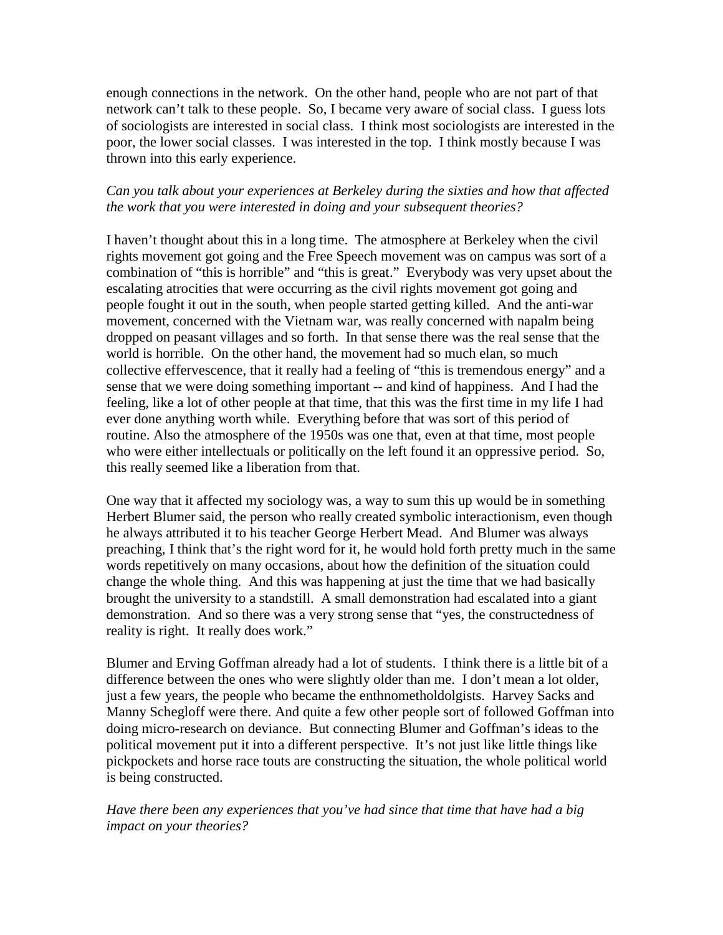enough connections in the network. On the other hand, people who are not part of that network can't talk to these people. So, I became very aware of social class. I guess lots of sociologists are interested in social class. I think most sociologists are interested in the poor, the lower social classes. I was interested in the top. I think mostly because I was thrown into this early experience.

# *Can you talk about your experiences at Berkeley during the sixties and how that affected the work that you were interested in doing and your subsequent theories?*

I haven't thought about this in a long time. The atmosphere at Berkeley when the civil rights movement got going and the Free Speech movement was on campus was sort of a combination of "this is horrible" and "this is great." Everybody was very upset about the escalating atrocities that were occurring as the civil rights movement got going and people fought it out in the south, when people started getting killed. And the anti-war movement, concerned with the Vietnam war, was really concerned with napalm being dropped on peasant villages and so forth. In that sense there was the real sense that the world is horrible. On the other hand, the movement had so much elan, so much collective effervescence, that it really had a feeling of "this is tremendous energy" and a sense that we were doing something important -- and kind of happiness. And I had the feeling, like a lot of other people at that time, that this was the first time in my life I had ever done anything worth while. Everything before that was sort of this period of routine. Also the atmosphere of the 1950s was one that, even at that time, most people who were either intellectuals or politically on the left found it an oppressive period. So, this really seemed like a liberation from that.

One way that it affected my sociology was, a way to sum this up would be in something Herbert Blumer said, the person who really created symbolic interactionism, even though he always attributed it to his teacher George Herbert Mead. And Blumer was always preaching, I think that's the right word for it, he would hold forth pretty much in the same words repetitively on many occasions, about how the definition of the situation could change the whole thing. And this was happening at just the time that we had basically brought the university to a standstill. A small demonstration had escalated into a giant demonstration. And so there was a very strong sense that "yes, the constructedness of reality is right. It really does work."

Blumer and Erving Goffman already had a lot of students. I think there is a little bit of a difference between the ones who were slightly older than me. I don't mean a lot older, just a few years, the people who became the enthnometholdolgists. Harvey Sacks and Manny Schegloff were there. And quite a few other people sort of followed Goffman into doing micro-research on deviance. But connecting Blumer and Goffman's ideas to the political movement put it into a different perspective. It's not just like little things like pickpockets and horse race touts are constructing the situation, the whole political world is being constructed.

*Have there been any experiences that you've had since that time that have had a big impact on your theories?*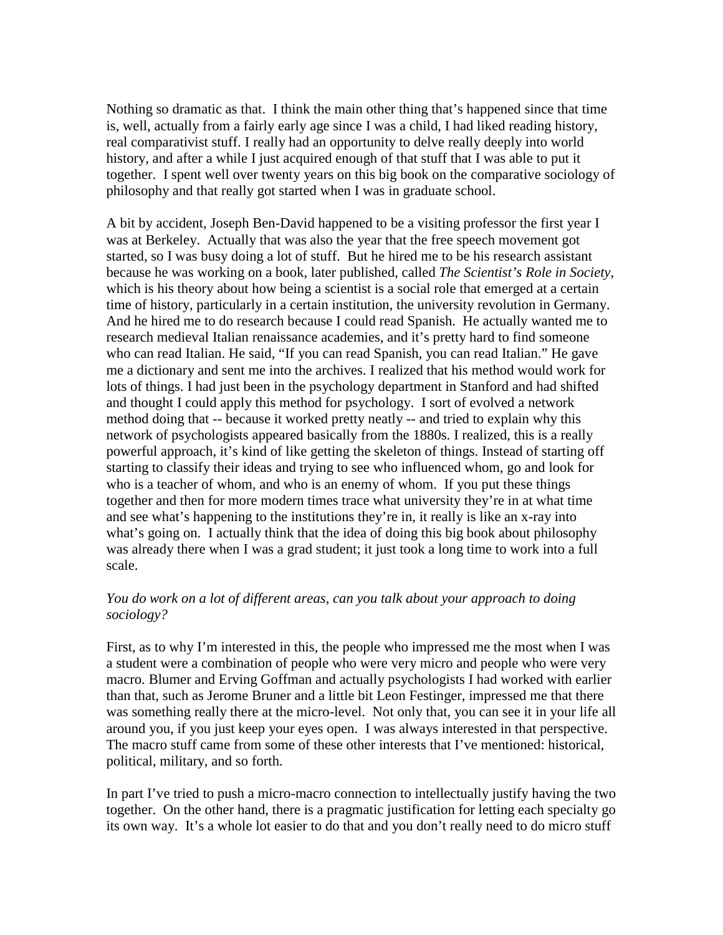Nothing so dramatic as that. I think the main other thing that's happened since that time is, well, actually from a fairly early age since I was a child, I had liked reading history, real comparativist stuff. I really had an opportunity to delve really deeply into world history, and after a while I just acquired enough of that stuff that I was able to put it together. I spent well over twenty years on this big book on the comparative sociology of philosophy and that really got started when I was in graduate school.

A bit by accident, Joseph Ben-David happened to be a visiting professor the first year I was at Berkeley. Actually that was also the year that the free speech movement got started, so I was busy doing a lot of stuff. But he hired me to be his research assistant because he was working on a book, later published, called *The Scientist's Role in Society*, which is his theory about how being a scientist is a social role that emerged at a certain time of history, particularly in a certain institution, the university revolution in Germany. And he hired me to do research because I could read Spanish. He actually wanted me to research medieval Italian renaissance academies, and it's pretty hard to find someone who can read Italian. He said, "If you can read Spanish, you can read Italian." He gave me a dictionary and sent me into the archives. I realized that his method would work for lots of things. I had just been in the psychology department in Stanford and had shifted and thought I could apply this method for psychology. I sort of evolved a network method doing that -- because it worked pretty neatly -- and tried to explain why this network of psychologists appeared basically from the 1880s. I realized, this is a really powerful approach, it's kind of like getting the skeleton of things. Instead of starting off starting to classify their ideas and trying to see who influenced whom, go and look for who is a teacher of whom, and who is an enemy of whom. If you put these things together and then for more modern times trace what university they're in at what time and see what's happening to the institutions they're in, it really is like an x-ray into what's going on. I actually think that the idea of doing this big book about philosophy was already there when I was a grad student; it just took a long time to work into a full scale.

# *You do work on a lot of different areas, can you talk about your approach to doing sociology?*

First, as to why I'm interested in this, the people who impressed me the most when I was a student were a combination of people who were very micro and people who were very macro. Blumer and Erving Goffman and actually psychologists I had worked with earlier than that, such as Jerome Bruner and a little bit Leon Festinger, impressed me that there was something really there at the micro-level. Not only that, you can see it in your life all around you, if you just keep your eyes open. I was always interested in that perspective. The macro stuff came from some of these other interests that I've mentioned: historical, political, military, and so forth.

In part I've tried to push a micro-macro connection to intellectually justify having the two together. On the other hand, there is a pragmatic justification for letting each specialty go its own way. It's a whole lot easier to do that and you don't really need to do micro stuff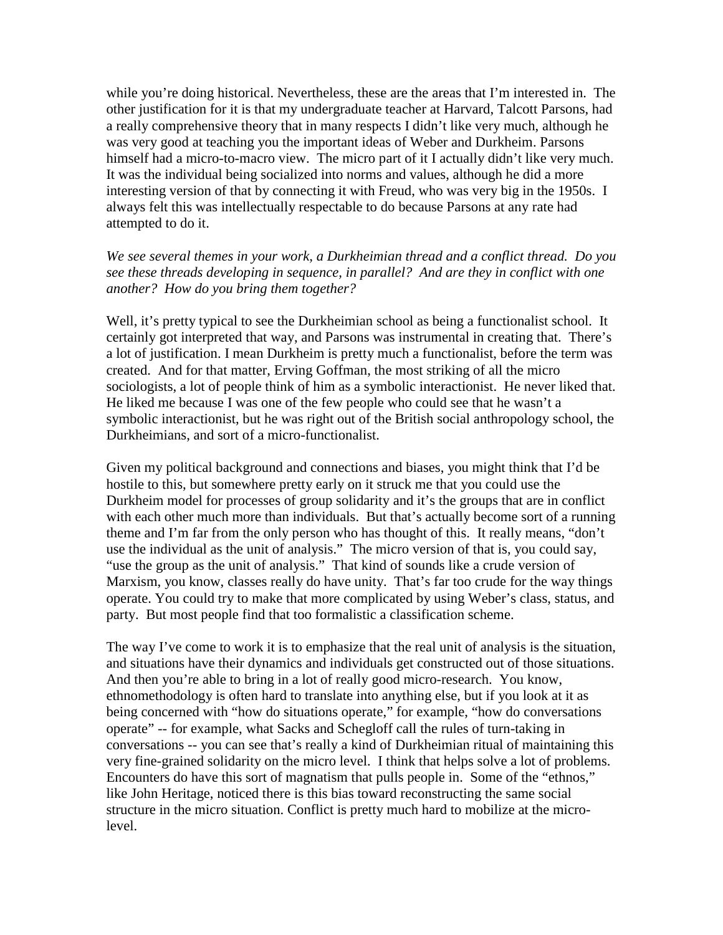while you're doing historical. Nevertheless, these are the areas that I'm interested in. The other justification for it is that my undergraduate teacher at Harvard, Talcott Parsons, had a really comprehensive theory that in many respects I didn't like very much, although he was very good at teaching you the important ideas of Weber and Durkheim. Parsons himself had a micro-to-macro view. The micro part of it I actually didn't like very much. It was the individual being socialized into norms and values, although he did a more interesting version of that by connecting it with Freud, who was very big in the 1950s. I always felt this was intellectually respectable to do because Parsons at any rate had attempted to do it.

*We see several themes in your work, a Durkheimian thread and a conflict thread. Do you see these threads developing in sequence, in parallel? And are they in conflict with one another? How do you bring them together?* 

Well, it's pretty typical to see the Durkheimian school as being a functionalist school. It certainly got interpreted that way, and Parsons was instrumental in creating that. There's a lot of justification. I mean Durkheim is pretty much a functionalist, before the term was created. And for that matter, Erving Goffman, the most striking of all the micro sociologists, a lot of people think of him as a symbolic interactionist. He never liked that. He liked me because I was one of the few people who could see that he wasn't a symbolic interactionist, but he was right out of the British social anthropology school, the Durkheimians, and sort of a micro-functionalist.

Given my political background and connections and biases, you might think that I'd be hostile to this, but somewhere pretty early on it struck me that you could use the Durkheim model for processes of group solidarity and it's the groups that are in conflict with each other much more than individuals. But that's actually become sort of a running theme and I'm far from the only person who has thought of this. It really means, "don't use the individual as the unit of analysis." The micro version of that is, you could say, "use the group as the unit of analysis." That kind of sounds like a crude version of Marxism, you know, classes really do have unity. That's far too crude for the way things operate. You could try to make that more complicated by using Weber's class, status, and party. But most people find that too formalistic a classification scheme.

The way I've come to work it is to emphasize that the real unit of analysis is the situation, and situations have their dynamics and individuals get constructed out of those situations. And then you're able to bring in a lot of really good micro-research. You know, ethnomethodology is often hard to translate into anything else, but if you look at it as being concerned with "how do situations operate," for example, "how do conversations operate" -- for example, what Sacks and Schegloff call the rules of turn-taking in conversations -- you can see that's really a kind of Durkheimian ritual of maintaining this very fine-grained solidarity on the micro level. I think that helps solve a lot of problems. Encounters do have this sort of magnatism that pulls people in. Some of the "ethnos," like John Heritage, noticed there is this bias toward reconstructing the same social structure in the micro situation. Conflict is pretty much hard to mobilize at the microlevel.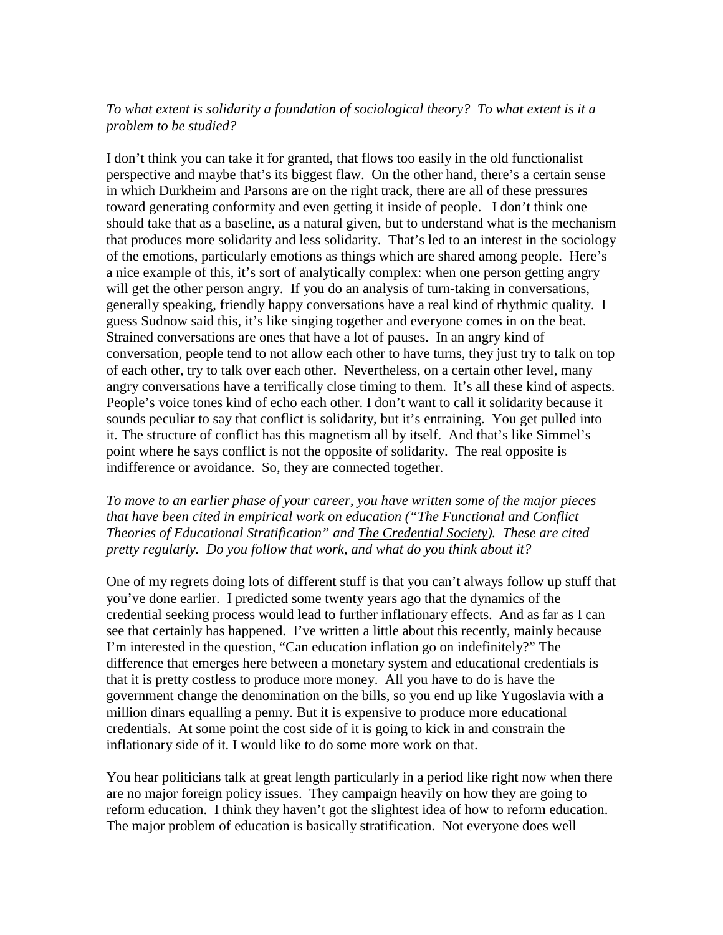# *To what extent is solidarity a foundation of sociological theory? To what extent is it a problem to be studied?*

I don't think you can take it for granted, that flows too easily in the old functionalist perspective and maybe that's its biggest flaw. On the other hand, there's a certain sense in which Durkheim and Parsons are on the right track, there are all of these pressures toward generating conformity and even getting it inside of people. I don't think one should take that as a baseline, as a natural given, but to understand what is the mechanism that produces more solidarity and less solidarity. That's led to an interest in the sociology of the emotions, particularly emotions as things which are shared among people. Here's a nice example of this, it's sort of analytically complex: when one person getting angry will get the other person angry. If you do an analysis of turn-taking in conversations, generally speaking, friendly happy conversations have a real kind of rhythmic quality. I guess Sudnow said this, it's like singing together and everyone comes in on the beat. Strained conversations are ones that have a lot of pauses. In an angry kind of conversation, people tend to not allow each other to have turns, they just try to talk on top of each other, try to talk over each other. Nevertheless, on a certain other level, many angry conversations have a terrifically close timing to them. It's all these kind of aspects. People's voice tones kind of echo each other. I don't want to call it solidarity because it sounds peculiar to say that conflict is solidarity, but it's entraining. You get pulled into it. The structure of conflict has this magnetism all by itself. And that's like Simmel's point where he says conflict is not the opposite of solidarity. The real opposite is indifference or avoidance. So, they are connected together.

*To move to an earlier phase of your career, you have written some of the major pieces that have been cited in empirical work on education ("The Functional and Conflict Theories of Educational Stratification" and The Credential Society). These are cited pretty regularly. Do you follow that work, and what do you think about it?* 

One of my regrets doing lots of different stuff is that you can't always follow up stuff that you've done earlier. I predicted some twenty years ago that the dynamics of the credential seeking process would lead to further inflationary effects. And as far as I can see that certainly has happened. I've written a little about this recently, mainly because I'm interested in the question, "Can education inflation go on indefinitely?" The difference that emerges here between a monetary system and educational credentials is that it is pretty costless to produce more money. All you have to do is have the government change the denomination on the bills, so you end up like Yugoslavia with a million dinars equalling a penny. But it is expensive to produce more educational credentials. At some point the cost side of it is going to kick in and constrain the inflationary side of it. I would like to do some more work on that.

You hear politicians talk at great length particularly in a period like right now when there are no major foreign policy issues. They campaign heavily on how they are going to reform education. I think they haven't got the slightest idea of how to reform education. The major problem of education is basically stratification. Not everyone does well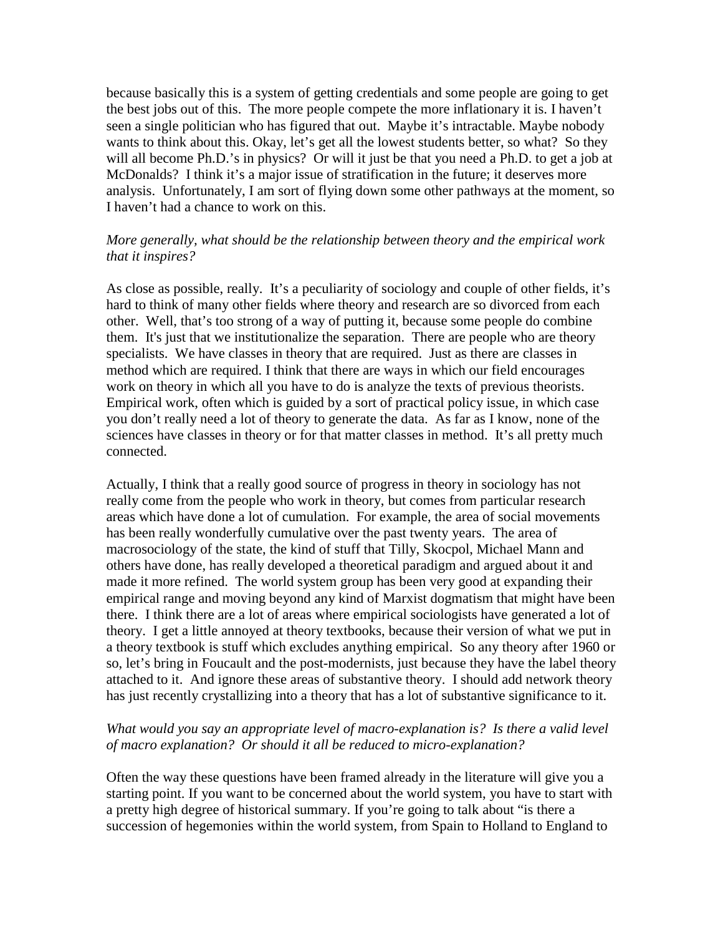because basically this is a system of getting credentials and some people are going to get the best jobs out of this. The more people compete the more inflationary it is. I haven't seen a single politician who has figured that out. Maybe it's intractable. Maybe nobody wants to think about this. Okay, let's get all the lowest students better, so what? So they will all become Ph.D.'s in physics? Or will it just be that you need a Ph.D. to get a job at McDonalds? I think it's a major issue of stratification in the future; it deserves more analysis. Unfortunately, I am sort of flying down some other pathways at the moment, so I haven't had a chance to work on this.

## *More generally, what should be the relationship between theory and the empirical work that it inspires?*

As close as possible, really. It's a peculiarity of sociology and couple of other fields, it's hard to think of many other fields where theory and research are so divorced from each other. Well, that's too strong of a way of putting it, because some people do combine them. It's just that we institutionalize the separation. There are people who are theory specialists. We have classes in theory that are required. Just as there are classes in method which are required. I think that there are ways in which our field encourages work on theory in which all you have to do is analyze the texts of previous theorists. Empirical work, often which is guided by a sort of practical policy issue, in which case you don't really need a lot of theory to generate the data. As far as I know, none of the sciences have classes in theory or for that matter classes in method. It's all pretty much connected.

Actually, I think that a really good source of progress in theory in sociology has not really come from the people who work in theory, but comes from particular research areas which have done a lot of cumulation. For example, the area of social movements has been really wonderfully cumulative over the past twenty years. The area of macrosociology of the state, the kind of stuff that Tilly, Skocpol, Michael Mann and others have done, has really developed a theoretical paradigm and argued about it and made it more refined. The world system group has been very good at expanding their empirical range and moving beyond any kind of Marxist dogmatism that might have been there. I think there are a lot of areas where empirical sociologists have generated a lot of theory. I get a little annoyed at theory textbooks, because their version of what we put in a theory textbook is stuff which excludes anything empirical. So any theory after 1960 or so, let's bring in Foucault and the post-modernists, just because they have the label theory attached to it. And ignore these areas of substantive theory. I should add network theory has just recently crystallizing into a theory that has a lot of substantive significance to it.

# *What would you say an appropriate level of macro-explanation is? Is there a valid level of macro explanation? Or should it all be reduced to micro-explanation?*

Often the way these questions have been framed already in the literature will give you a starting point. If you want to be concerned about the world system, you have to start with a pretty high degree of historical summary. If you're going to talk about "is there a succession of hegemonies within the world system, from Spain to Holland to England to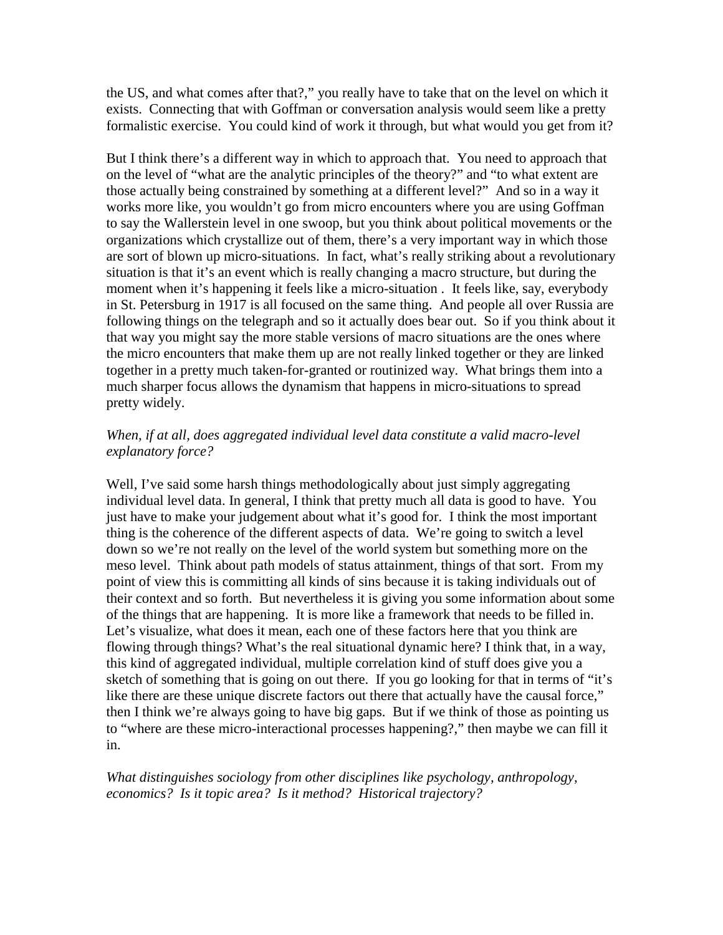the US, and what comes after that?," you really have to take that on the level on which it exists. Connecting that with Goffman or conversation analysis would seem like a pretty formalistic exercise. You could kind of work it through, but what would you get from it?

But I think there's a different way in which to approach that. You need to approach that on the level of "what are the analytic principles of the theory?" and "to what extent are those actually being constrained by something at a different level?" And so in a way it works more like, you wouldn't go from micro encounters where you are using Goffman to say the Wallerstein level in one swoop, but you think about political movements or the organizations which crystallize out of them, there's a very important way in which those are sort of blown up micro-situations. In fact, what's really striking about a revolutionary situation is that it's an event which is really changing a macro structure, but during the moment when it's happening it feels like a micro-situation . It feels like, say, everybody in St. Petersburg in 1917 is all focused on the same thing. And people all over Russia are following things on the telegraph and so it actually does bear out. So if you think about it that way you might say the more stable versions of macro situations are the ones where the micro encounters that make them up are not really linked together or they are linked together in a pretty much taken-for-granted or routinized way. What brings them into a much sharper focus allows the dynamism that happens in micro-situations to spread pretty widely.

# *When, if at all, does aggregated individual level data constitute a valid macro-level explanatory force?*

Well, I've said some harsh things methodologically about just simply aggregating individual level data. In general, I think that pretty much all data is good to have. You just have to make your judgement about what it's good for. I think the most important thing is the coherence of the different aspects of data. We're going to switch a level down so we're not really on the level of the world system but something more on the meso level. Think about path models of status attainment, things of that sort. From my point of view this is committing all kinds of sins because it is taking individuals out of their context and so forth. But nevertheless it is giving you some information about some of the things that are happening. It is more like a framework that needs to be filled in. Let's visualize, what does it mean, each one of these factors here that you think are flowing through things? What's the real situational dynamic here? I think that, in a way, this kind of aggregated individual, multiple correlation kind of stuff does give you a sketch of something that is going on out there. If you go looking for that in terms of "it's like there are these unique discrete factors out there that actually have the causal force," then I think we're always going to have big gaps. But if we think of those as pointing us to "where are these micro-interactional processes happening?," then maybe we can fill it in.

*What distinguishes sociology from other disciplines like psychology, anthropology, economics? Is it topic area? Is it method? Historical trajectory?*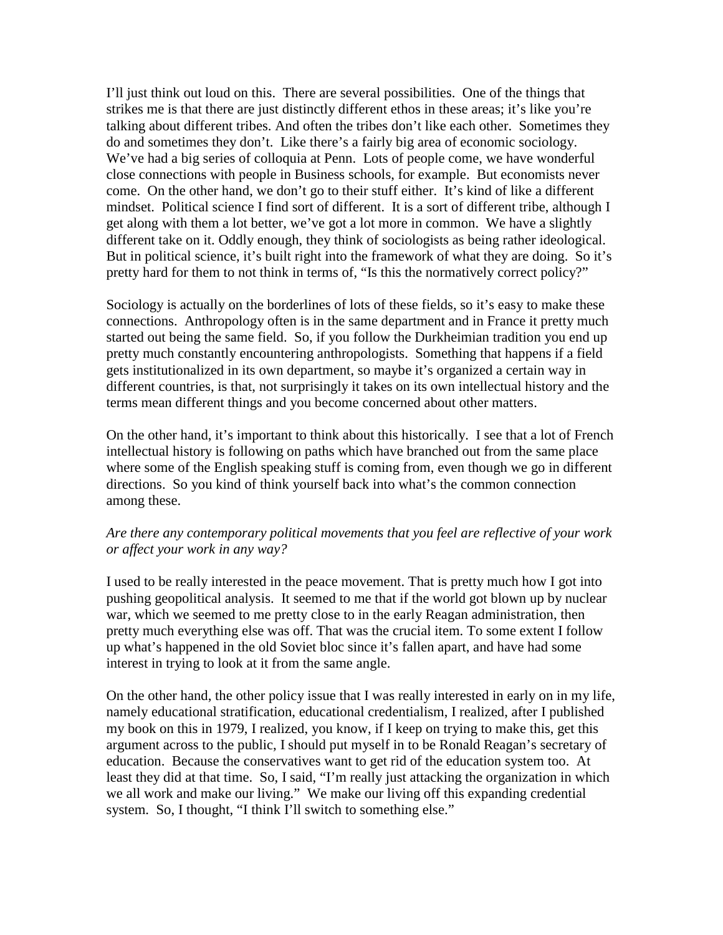I'll just think out loud on this. There are several possibilities. One of the things that strikes me is that there are just distinctly different ethos in these areas; it's like you're talking about different tribes. And often the tribes don't like each other. Sometimes they do and sometimes they don't. Like there's a fairly big area of economic sociology. We've had a big series of colloquia at Penn. Lots of people come, we have wonderful close connections with people in Business schools, for example. But economists never come. On the other hand, we don't go to their stuff either. It's kind of like a different mindset. Political science I find sort of different. It is a sort of different tribe, although I get along with them a lot better, we've got a lot more in common. We have a slightly different take on it. Oddly enough, they think of sociologists as being rather ideological. But in political science, it's built right into the framework of what they are doing. So it's pretty hard for them to not think in terms of, "Is this the normatively correct policy?"

Sociology is actually on the borderlines of lots of these fields, so it's easy to make these connections. Anthropology often is in the same department and in France it pretty much started out being the same field. So, if you follow the Durkheimian tradition you end up pretty much constantly encountering anthropologists. Something that happens if a field gets institutionalized in its own department, so maybe it's organized a certain way in different countries, is that, not surprisingly it takes on its own intellectual history and the terms mean different things and you become concerned about other matters.

On the other hand, it's important to think about this historically. I see that a lot of French intellectual history is following on paths which have branched out from the same place where some of the English speaking stuff is coming from, even though we go in different directions. So you kind of think yourself back into what's the common connection among these.

# *Are there any contemporary political movements that you feel are reflective of your work or affect your work in any way?*

I used to be really interested in the peace movement. That is pretty much how I got into pushing geopolitical analysis. It seemed to me that if the world got blown up by nuclear war, which we seemed to me pretty close to in the early Reagan administration, then pretty much everything else was off. That was the crucial item. To some extent I follow up what's happened in the old Soviet bloc since it's fallen apart, and have had some interest in trying to look at it from the same angle.

On the other hand, the other policy issue that I was really interested in early on in my life, namely educational stratification, educational credentialism, I realized, after I published my book on this in 1979, I realized, you know, if I keep on trying to make this, get this argument across to the public, I should put myself in to be Ronald Reagan's secretary of education. Because the conservatives want to get rid of the education system too. At least they did at that time. So, I said, "I'm really just attacking the organization in which we all work and make our living." We make our living off this expanding credential system. So, I thought, "I think I'll switch to something else."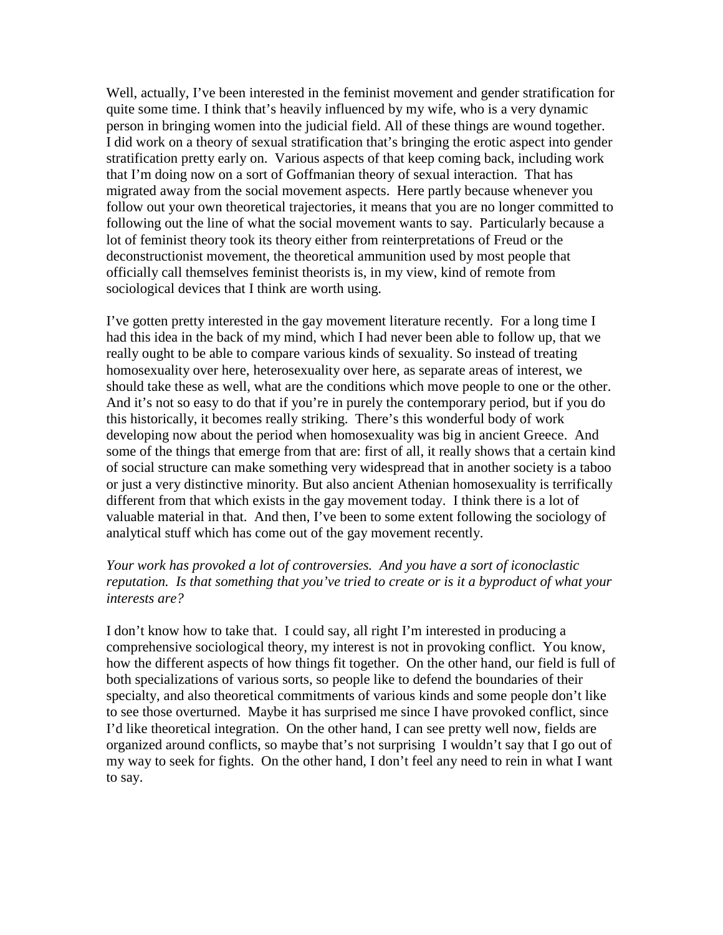Well, actually, I've been interested in the feminist movement and gender stratification for quite some time. I think that's heavily influenced by my wife, who is a very dynamic person in bringing women into the judicial field. All of these things are wound together. I did work on a theory of sexual stratification that's bringing the erotic aspect into gender stratification pretty early on. Various aspects of that keep coming back, including work that I'm doing now on a sort of Goffmanian theory of sexual interaction. That has migrated away from the social movement aspects. Here partly because whenever you follow out your own theoretical trajectories, it means that you are no longer committed to following out the line of what the social movement wants to say. Particularly because a lot of feminist theory took its theory either from reinterpretations of Freud or the deconstructionist movement, the theoretical ammunition used by most people that officially call themselves feminist theorists is, in my view, kind of remote from sociological devices that I think are worth using.

I've gotten pretty interested in the gay movement literature recently. For a long time I had this idea in the back of my mind, which I had never been able to follow up, that we really ought to be able to compare various kinds of sexuality. So instead of treating homosexuality over here, heterosexuality over here, as separate areas of interest, we should take these as well, what are the conditions which move people to one or the other. And it's not so easy to do that if you're in purely the contemporary period, but if you do this historically, it becomes really striking. There's this wonderful body of work developing now about the period when homosexuality was big in ancient Greece. And some of the things that emerge from that are: first of all, it really shows that a certain kind of social structure can make something very widespread that in another society is a taboo or just a very distinctive minority. But also ancient Athenian homosexuality is terrifically different from that which exists in the gay movement today. I think there is a lot of valuable material in that. And then, I've been to some extent following the sociology of analytical stuff which has come out of the gay movement recently.

# *Your work has provoked a lot of controversies. And you have a sort of iconoclastic reputation. Is that something that you've tried to create or is it a byproduct of what your interests are?*

I don't know how to take that. I could say, all right I'm interested in producing a comprehensive sociological theory, my interest is not in provoking conflict. You know, how the different aspects of how things fit together. On the other hand, our field is full of both specializations of various sorts, so people like to defend the boundaries of their specialty, and also theoretical commitments of various kinds and some people don't like to see those overturned. Maybe it has surprised me since I have provoked conflict, since I'd like theoretical integration. On the other hand, I can see pretty well now, fields are organized around conflicts, so maybe that's not surprising I wouldn't say that I go out of my way to seek for fights. On the other hand, I don't feel any need to rein in what I want to say.